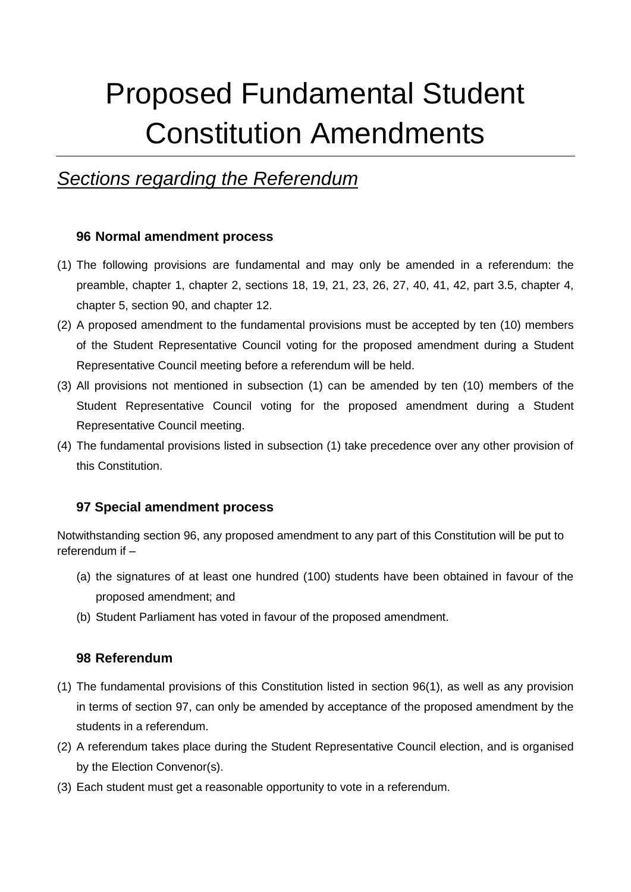# Proposed Fundamental Student Constitution Amendments

# *Sections regarding the Referendum*

# **96 Normal amendment process**

- (1) The following provisions are fundamental and may only be amended in a referendum: the preamble, chapter 1, chapter 2, sections 18, 19, 21, 23, 26, 27, 40, 41, 42, part 3.5, chapter 4, chapter 5, section 90, and chapter 12.
- (2) A proposed amendment to the fundamental provisions must be accepted by ten (10) members of the Student Representative Council voting for the proposed amendment during a Student Representative Council meeting before a referendum will be held.
- (3) All provisions not mentioned in subsection (1) can be amended by ten (10) members of the Student Representative Council voting for the proposed amendment during a Student Representative Council meeting.
- (4) The fundamental provisions listed in subsection (1) take precedence over any other provision of this Constitution.

# **97 Special amendment process**

Notwithstanding section 96, any proposed amendment to any part of this Constitution will be put to referendum if –

- (a) the signatures of at least one hundred (100) students have been obtained in favour of the proposed amendment; and
- (b) Student Parliament has voted in favour of the proposed amendment.

# **98 Referendum**

- (1) The fundamental provisions of this Constitution listed in section 96(1), as well as any provision in terms of section 97, can only be amended by acceptance of the proposed amendment by the students in a referendum.
- (2) A referendum takes place during the Student Representative Council election, and is organised by the Election Convenor(s).
- (3) Each student must get a reasonable opportunity to vote in a referendum.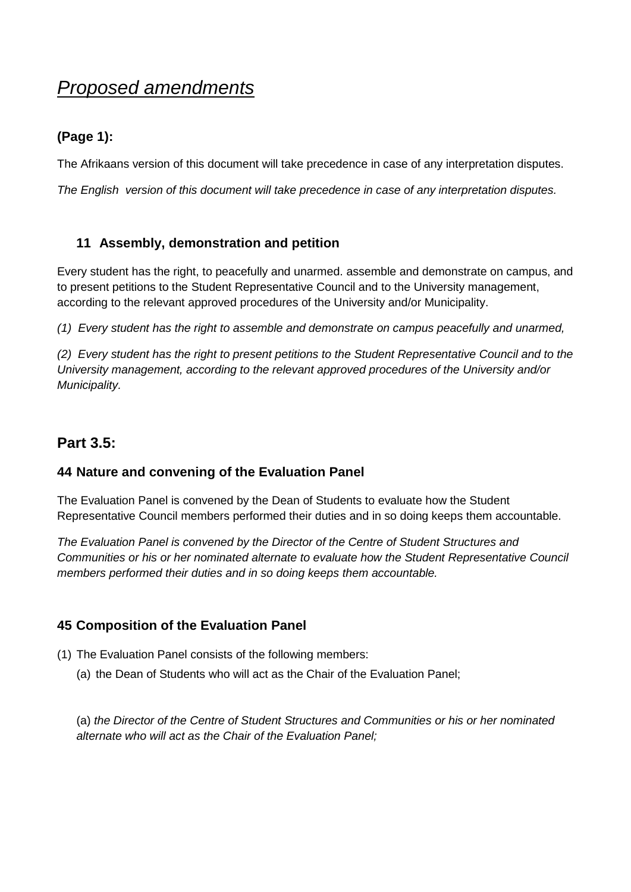# *Proposed amendments*

# **(Page 1):**

The Afrikaans version of this document will take precedence in case of any interpretation disputes.

*The English version of this document will take precedence in case of any interpretation disputes.*

# **11 Assembly, demonstration and petition**

Every student has the right, to peacefully and unarmed. assemble and demonstrate on campus, and to present petitions to the Student Representative Council and to the University management, according to the relevant approved procedures of the University and/or Municipality.

*(1) Every student has the right to assemble and demonstrate on campus peacefully and unarmed,* 

*(2) Every student has the right to present petitions to the Student Representative Council and to the University management, according to the relevant approved procedures of the University and/or Municipality.*

# **Part 3.5:**

# **44 Nature and convening of the Evaluation Panel**

The Evaluation Panel is convened by the Dean of Students to evaluate how the Student Representative Council members performed their duties and in so doing keeps them accountable.

*The Evaluation Panel is convened by the Director of the Centre of Student Structures and Communities or his or her nominated alternate to evaluate how the Student Representative Council members performed their duties and in so doing keeps them accountable.*

# **45 Composition of the Evaluation Panel**

- (1) The Evaluation Panel consists of the following members:
	- (a) the Dean of Students who will act as the Chair of the Evaluation Panel;

(a) *the Director of the Centre of Student Structures and Communities or his or her nominated alternate who will act as the Chair of the Evaluation Panel;*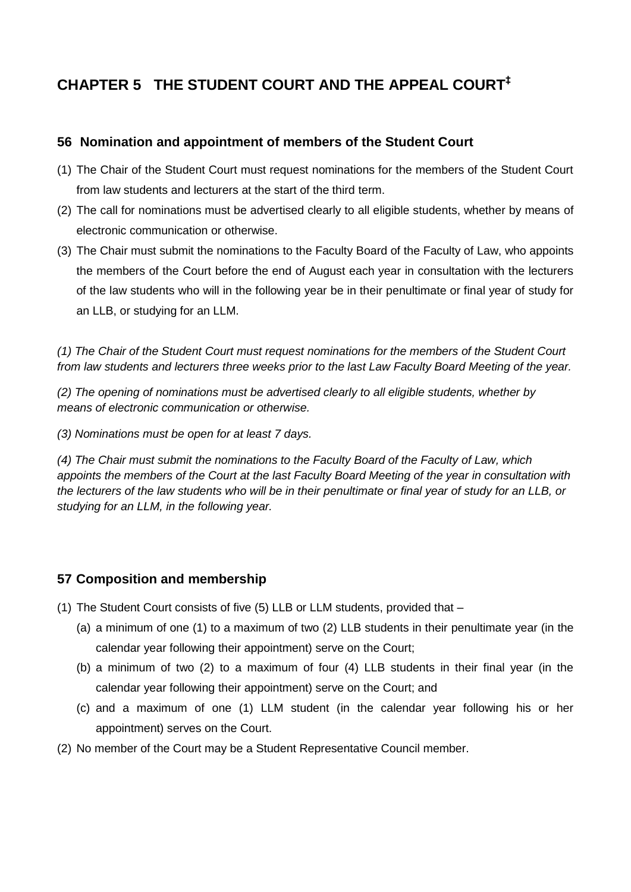# **CHAPTER 5 THE STUDENT COURT AND THE APPEAL COURT‡**

# **56 Nomination and appointment of members of the Student Court**

- (1) The Chair of the Student Court must request nominations for the members of the Student Court from law students and lecturers at the start of the third term.
- (2) The call for nominations must be advertised clearly to all eligible students, whether by means of electronic communication or otherwise.
- (3) The Chair must submit the nominations to the Faculty Board of the Faculty of Law, who appoints the members of the Court before the end of August each year in consultation with the lecturers of the law students who will in the following year be in their penultimate or final year of study for an LLB, or studying for an LLM.

*(1) The Chair of the Student Court must request nominations for the members of the Student Court from law students and lecturers three weeks prior to the last Law Faculty Board Meeting of the year.*

*(2) The opening of nominations must be advertised clearly to all eligible students, whether by means of electronic communication or otherwise.*

*(3) Nominations must be open for at least 7 days.* 

*(4) The Chair must submit the nominations to the Faculty Board of the Faculty of Law, which appoints the members of the Court at the last Faculty Board Meeting of the year in consultation with the lecturers of the law students who will be in their penultimate or final year of study for an LLB, or studying for an LLM, in the following year.*

# **57 Composition and membership**

- (1) The Student Court consists of five (5) LLB or LLM students, provided that
	- (a) a minimum of one (1) to a maximum of two (2) LLB students in their penultimate year (in the calendar year following their appointment) serve on the Court;
	- (b) a minimum of two (2) to a maximum of four (4) LLB students in their final year (in the calendar year following their appointment) serve on the Court; and
	- (c) and a maximum of one (1) LLM student (in the calendar year following his or her appointment) serves on the Court.
- (2) No member of the Court may be a Student Representative Council member.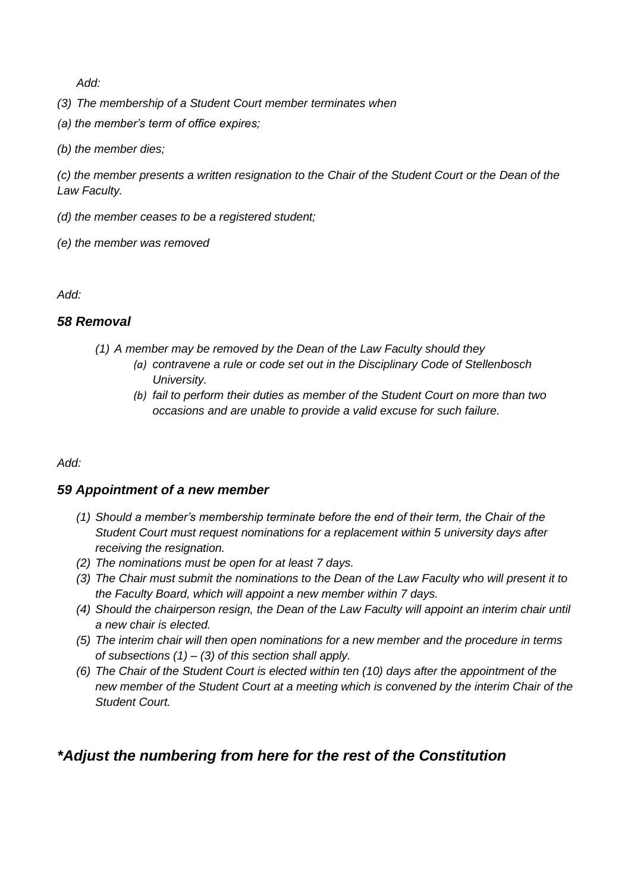*Add:*

- *(3) The membership of a Student Court member terminates when*
- *(a) the member's term of office expires;*
- *(b) the member dies;*

*(c) the member presents a written resignation to the Chair of the Student Court or the Dean of the Law Faculty.* 

- *(d) the member ceases to be a registered student;*
- *(e) the member was removed*

*Add:*

#### *58 Removal*

- *(1) A member may be removed by the Dean of the Law Faculty should they*
	- *(a) contravene a rule or code set out in the Disciplinary Code of Stellenbosch University.*
	- *(b) fail to perform their duties as member of the Student Court on more than two occasions and are unable to provide a valid excuse for such failure.*

#### *Add:*

#### *59 Appointment of a new member*

- *(1) Should a member's membership terminate before the end of their term, the Chair of the Student Court must request nominations for a replacement within 5 university days after receiving the resignation.*
- *(2) The nominations must be open for at least 7 days.*
- *(3) The Chair must submit the nominations to the Dean of the Law Faculty who will present it to the Faculty Board, which will appoint a new member within 7 days.*
- *(4) Should the chairperson resign, the Dean of the Law Faculty will appoint an interim chair until a new chair is elected.*
- *(5) The interim chair will then open nominations for a new member and the procedure in terms of subsections (1) – (3) of this section shall apply.*
- *(6) The Chair of the Student Court is elected within ten (10) days after the appointment of the new member of the Student Court at a meeting which is convened by the interim Chair of the Student Court.*

# *\*Adjust the numbering from here for the rest of the Constitution*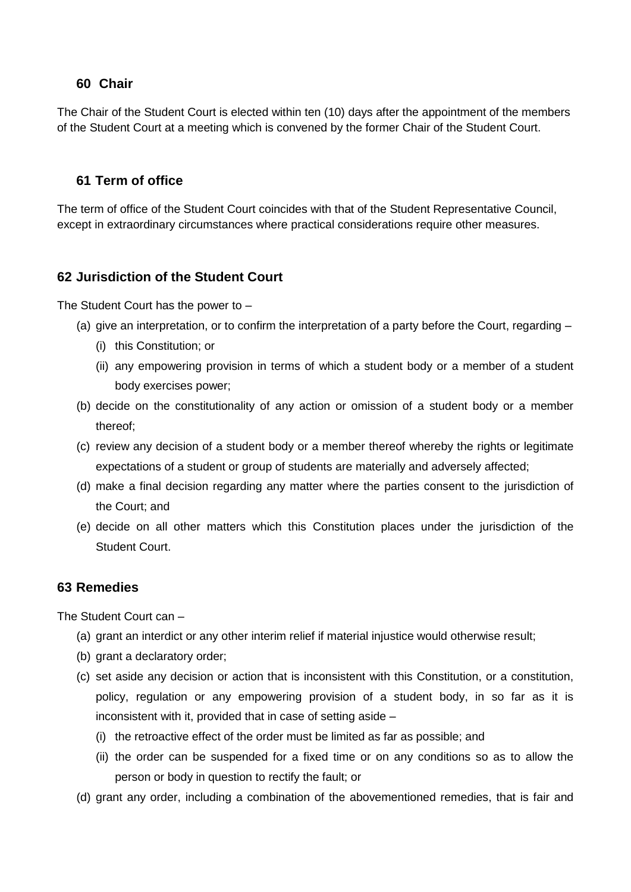#### **60 Chair**

The Chair of the Student Court is elected within ten (10) days after the appointment of the members of the Student Court at a meeting which is convened by the former Chair of the Student Court.

#### **61 Term of office**

The term of office of the Student Court coincides with that of the Student Representative Council, except in extraordinary circumstances where practical considerations require other measures.

#### **62 Jurisdiction of the Student Court**

The Student Court has the power to –

- (a) give an interpretation, or to confirm the interpretation of a party before the Court, regarding
	- (i) this Constitution; or
	- (ii) any empowering provision in terms of which a student body or a member of a student body exercises power;
- (b) decide on the constitutionality of any action or omission of a student body or a member thereof;
- (c) review any decision of a student body or a member thereof whereby the rights or legitimate expectations of a student or group of students are materially and adversely affected;
- (d) make a final decision regarding any matter where the parties consent to the jurisdiction of the Court; and
- (e) decide on all other matters which this Constitution places under the jurisdiction of the Student Court.

#### **63 Remedies**

The Student Court can –

- (a) grant an interdict or any other interim relief if material injustice would otherwise result;
- (b) grant a declaratory order;
- (c) set aside any decision or action that is inconsistent with this Constitution, or a constitution, policy, regulation or any empowering provision of a student body, in so far as it is inconsistent with it, provided that in case of setting aside –
	- (i) the retroactive effect of the order must be limited as far as possible; and
	- (ii) the order can be suspended for a fixed time or on any conditions so as to allow the person or body in question to rectify the fault; or
- (d) grant any order, including a combination of the abovementioned remedies, that is fair and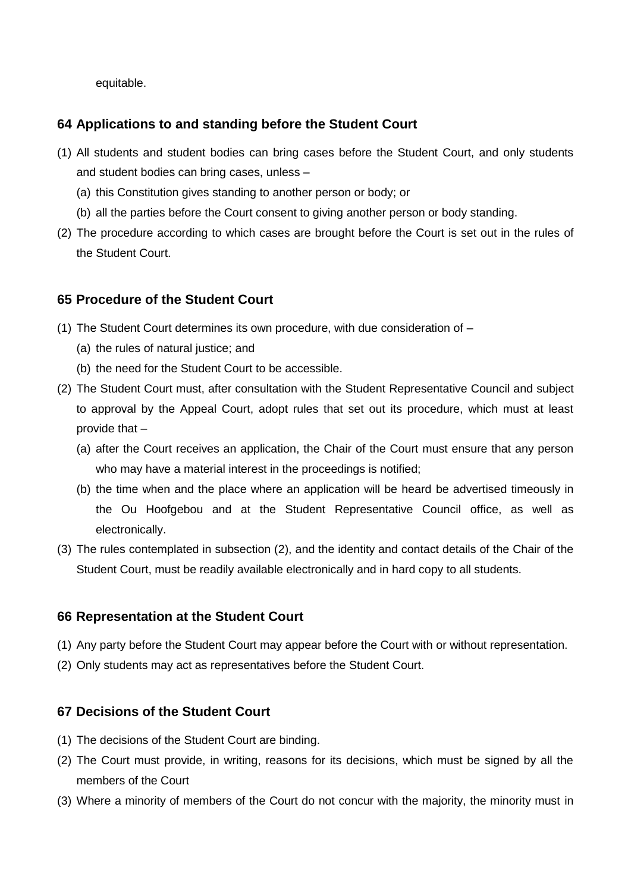equitable.

# **64 Applications to and standing before the Student Court**

- (1) All students and student bodies can bring cases before the Student Court, and only students and student bodies can bring cases, unless –
	- (a) this Constitution gives standing to another person or body; or
	- (b) all the parties before the Court consent to giving another person or body standing.
- (2) The procedure according to which cases are brought before the Court is set out in the rules of the Student Court.

# **65 Procedure of the Student Court**

- (1) The Student Court determines its own procedure, with due consideration of
	- (a) the rules of natural justice; and
	- (b) the need for the Student Court to be accessible.
- <span id="page-5-0"></span>(2) The Student Court must, after consultation with the Student Representative Council and subject to approval by the Appeal Court, adopt rules that set out its procedure, which must at least provide that –
	- (a) after the Court receives an application, the Chair of the Court must ensure that any person who may have a material interest in the proceedings is notified;
	- (b) the time when and the place where an application will be heard be advertised timeously in the Ou Hoofgebou and at the Student Representative Council office, as well as electronically.
- (3) The rules contemplated in subsection [\(2\),](#page-5-0) and the identity and contact details of the Chair of the Student Court, must be readily available electronically and in hard copy to all students.

# **66 Representation at the Student Court**

- (1) Any party before the Student Court may appear before the Court with or without representation.
- (2) Only students may act as representatives before the Student Court.

# **67 Decisions of the Student Court**

- (1) The decisions of the Student Court are binding.
- (2) The Court must provide, in writing, reasons for its decisions, which must be signed by all the members of the Court
- (3) Where a minority of members of the Court do not concur with the majority, the minority must in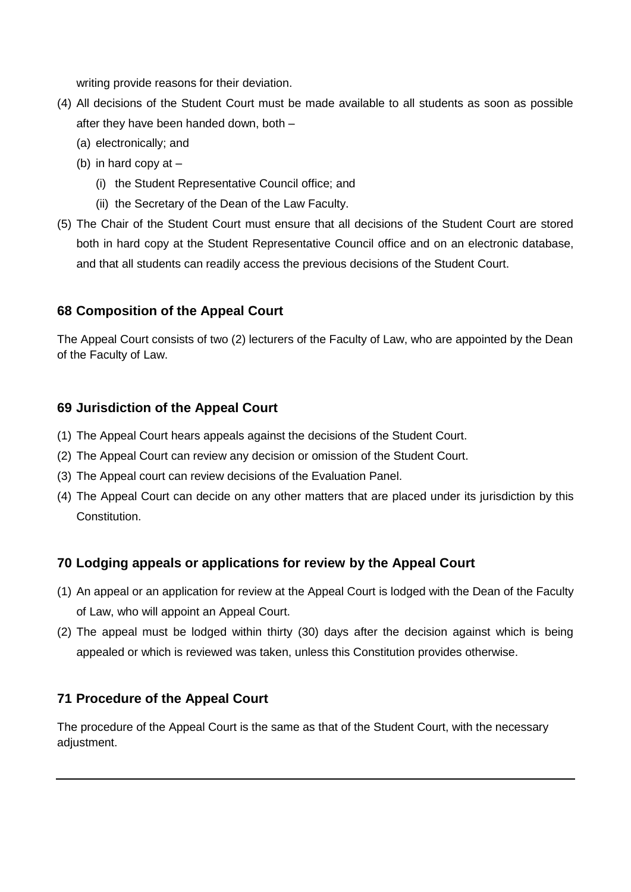writing provide reasons for their deviation.

- (4) All decisions of the Student Court must be made available to all students as soon as possible after they have been handed down, both –
	- (a) electronically; and
	- (b) in hard copy at
		- (i) the Student Representative Council office; and
		- (ii) the Secretary of the Dean of the Law Faculty.
- (5) The Chair of the Student Court must ensure that all decisions of the Student Court are stored both in hard copy at the Student Representative Council office and on an electronic database, and that all students can readily access the previous decisions of the Student Court.

# **68 Composition of the Appeal Court**

The Appeal Court consists of two (2) lecturers of the Faculty of Law, who are appointed by the Dean of the Faculty of Law.

# **69 Jurisdiction of the Appeal Court**

- (1) The Appeal Court hears appeals against the decisions of the Student Court.
- (2) The Appeal Court can review any decision or omission of the Student Court.
- (3) The Appeal court can review decisions of the Evaluation Panel.
- (4) The Appeal Court can decide on any other matters that are placed under its jurisdiction by this Constitution.

# **70 Lodging appeals or applications for review by the Appeal Court**

- (1) An appeal or an application for review at the Appeal Court is lodged with the Dean of the Faculty of Law, who will appoint an Appeal Court.
- (2) The appeal must be lodged within thirty (30) days after the decision against which is being appealed or which is reviewed was taken, unless this Constitution provides otherwise.

# **71 Procedure of the Appeal Court**

The procedure of the Appeal Court is the same as that of the Student Court, with the necessary adjustment.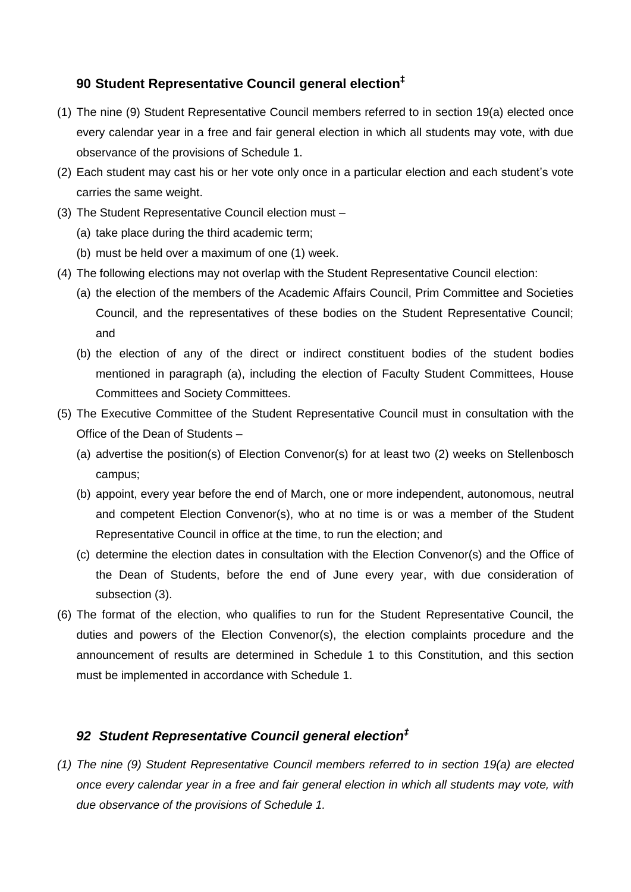# **90 Student Representative Council general election‡**

- (1) The nine (9) Student Representative Council members referred to in section 19(a) elected once every calendar year in a free and fair general election in which all students may vote, with due observance of the provisions of Schedule 1.
- (2) Each student may cast his or her vote only once in a particular election and each student's vote carries the same weight.
- (3) The Student Representative Council election must
	- (a) take place during the third academic term;
	- (b) must be held over a maximum of one (1) week.
- <span id="page-7-0"></span>(4) The following elections may not overlap with the Student Representative Council election:
	- (a) the election of the members of the Academic Affairs Council, Prim Committee and Societies Council, and the representatives of these bodies on the Student Representative Council; and
	- (b) the election of any of the direct or indirect constituent bodies of the student bodies mentioned in paragraph [\(a\),](#page-7-0) including the election of Faculty Student Committees, House Committees and Society Committees.
- (5) The Executive Committee of the Student Representative Council must in consultation with the Office of the Dean of Students –
	- (a) advertise the position(s) of Election Convenor(s) for at least two (2) weeks on Stellenbosch campus;
	- (b) appoint, every year before the end of March, one or more independent, autonomous, neutral and competent Election Convenor(s), who at no time is or was a member of the Student Representative Council in office at the time, to run the election; and
	- (c) determine the election dates in consultation with the Election Convenor(s) and the Office of the Dean of Students, before the end of June every year, with due consideration of subsection (3).
- (6) The format of the election, who qualifies to run for the Student Representative Council, the duties and powers of the Election Convenor(s), the election complaints procedure and the announcement of results are determined in Schedule 1 to this Constitution, and this section must be implemented in accordance with Schedule 1.

# *92 Student Representative Council general election‡*

*(1) The nine (9) Student Representative Council members referred to in section 19(a) are elected once every calendar year in a free and fair general election in which all students may vote, with due observance of the provisions of Schedule 1.*